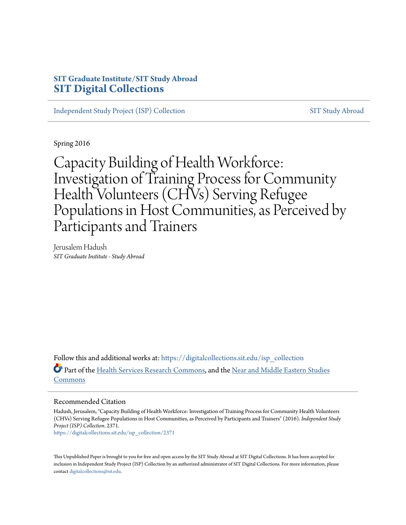# **SIT Graduate Institute/SIT Study Abroad [SIT Digital Collections](https://digitalcollections.sit.edu?utm_source=digitalcollections.sit.edu%2Fisp_collection%2F2371&utm_medium=PDF&utm_campaign=PDFCoverPages)**

[Independent Study Project \(ISP\) Collection](https://digitalcollections.sit.edu/isp_collection?utm_source=digitalcollections.sit.edu%2Fisp_collection%2F2371&utm_medium=PDF&utm_campaign=PDFCoverPages) [SIT Study Abroad](https://digitalcollections.sit.edu/study_abroad?utm_source=digitalcollections.sit.edu%2Fisp_collection%2F2371&utm_medium=PDF&utm_campaign=PDFCoverPages)

Spring 2016

Capacity Building of Health Workforce: Investigation of Training Process for Community Health Volunteers (CHVs) Serving Refugee Populations in Host Communities, as Perceived by Participants and Trainers

Jerusalem Hadush *SIT Graduate Institute - Study Abroad*

Follow this and additional works at: [https://digitalcollections.sit.edu/isp\\_collection](https://digitalcollections.sit.edu/isp_collection?utm_source=digitalcollections.sit.edu%2Fisp_collection%2F2371&utm_medium=PDF&utm_campaign=PDFCoverPages) Part of the [Health Services Research Commons](http://network.bepress.com/hgg/discipline/816?utm_source=digitalcollections.sit.edu%2Fisp_collection%2F2371&utm_medium=PDF&utm_campaign=PDFCoverPages), and the [Near and Middle Eastern Studies](http://network.bepress.com/hgg/discipline/1308?utm_source=digitalcollections.sit.edu%2Fisp_collection%2F2371&utm_medium=PDF&utm_campaign=PDFCoverPages) [Commons](http://network.bepress.com/hgg/discipline/1308?utm_source=digitalcollections.sit.edu%2Fisp_collection%2F2371&utm_medium=PDF&utm_campaign=PDFCoverPages)

#### Recommended Citation

Hadush, Jerusalem, "Capacity Building of Health Workforce: Investigation of Training Process for Community Health Volunteers (CHVs) Serving Refugee Populations in Host Communities, as Perceived by Participants and Trainers" (2016). *Independent Study Project (ISP) Collection*. 2371.

[https://digitalcollections.sit.edu/isp\\_collection/2371](https://digitalcollections.sit.edu/isp_collection/2371?utm_source=digitalcollections.sit.edu%2Fisp_collection%2F2371&utm_medium=PDF&utm_campaign=PDFCoverPages)

This Unpublished Paper is brought to you for free and open access by the SIT Study Abroad at SIT Digital Collections. It has been accepted for inclusion in Independent Study Project (ISP) Collection by an authorized administrator of SIT Digital Collections. For more information, please contact [digitalcollections@sit.edu](mailto:digitalcollections@sit.edu).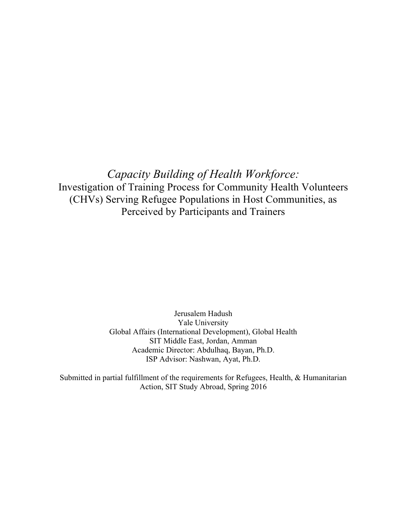*Capacity Building of Health Workforce:* Investigation of Training Process for Community Health Volunteers (CHVs) Serving Refugee Populations in Host Communities, as Perceived by Participants and Trainers

> Jerusalem Hadush Yale University Global Affairs (International Development), Global Health SIT Middle East, Jordan, Amman Academic Director: Abdulhaq, Bayan, Ph.D. ISP Advisor: Nashwan, Ayat, Ph.D.

Submitted in partial fulfillment of the requirements for Refugees, Health, & Humanitarian Action, SIT Study Abroad, Spring 2016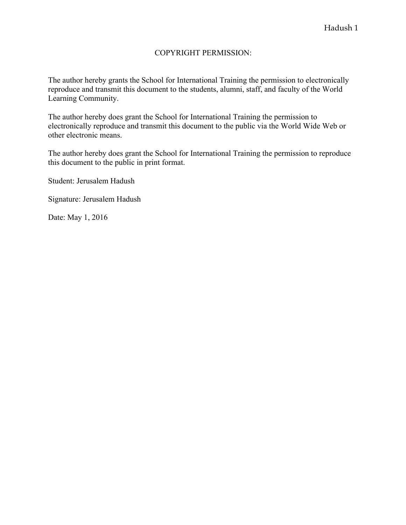## COPYRIGHT PERMISSION:

The author hereby grants the School for International Training the permission to electronically reproduce and transmit this document to the students, alumni, staff, and faculty of the World Learning Community.

The author hereby does grant the School for International Training the permission to electronically reproduce and transmit this document to the public via the World Wide Web or other electronic means.

The author hereby does grant the School for International Training the permission to reproduce this document to the public in print format.

Student: Jerusalem Hadush

Signature: Jerusalem Hadush

Date: May 1, 2016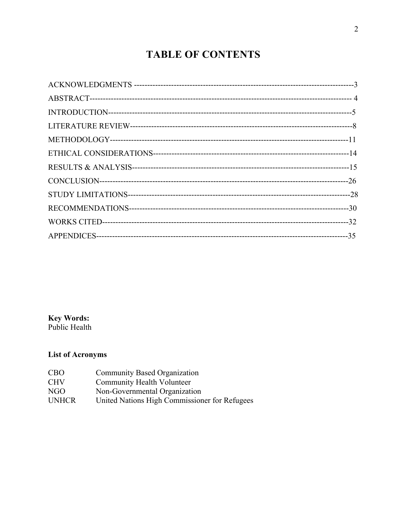# **TABLE OF CONTENTS**

**Key Words:**<br>Public Health

# **List of Acronyms**

| CBO          | Community Based Organization                  |
|--------------|-----------------------------------------------|
| CHV          | Community Health Volunteer                    |
| NGO          | Non-Governmental Organization                 |
| <b>UNHCR</b> | United Nations High Commissioner for Refugees |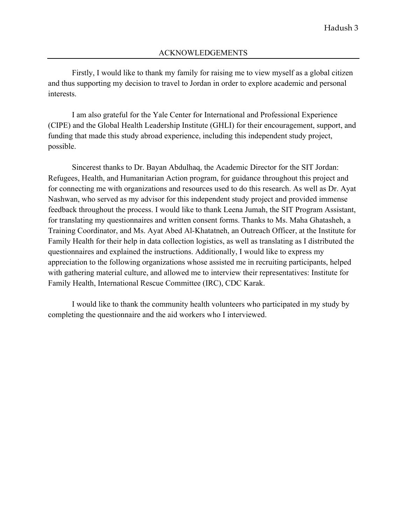Firstly, I would like to thank my family for raising me to view myself as a global citizen and thus supporting my decision to travel to Jordan in order to explore academic and personal interests.

I am also grateful for the Yale Center for International and Professional Experience (CIPE) and the Global Health Leadership Institute (GHLI) for their encouragement, support, and funding that made this study abroad experience, including this independent study project, possible.

Sincerest thanks to Dr. Bayan Abdulhaq, the Academic Director for the SIT Jordan: Refugees, Health, and Humanitarian Action program, for guidance throughout this project and for connecting me with organizations and resources used to do this research. As well as Dr. Ayat Nashwan, who served as my advisor for this independent study project and provided immense feedback throughout the process. I would like to thank Leena Jumah, the SIT Program Assistant, for translating my questionnaires and written consent forms. Thanks to Ms. Maha Ghatasheh, a Training Coordinator, and Ms. Ayat Abed Al-Khatatneh, an Outreach Officer, at the Institute for Family Health for their help in data collection logistics, as well as translating as I distributed the questionnaires and explained the instructions. Additionally, I would like to express my appreciation to the following organizations whose assisted me in recruiting participants, helped with gathering material culture, and allowed me to interview their representatives: Institute for Family Health, International Rescue Committee (IRC), CDC Karak.

I would like to thank the community health volunteers who participated in my study by completing the questionnaire and the aid workers who I interviewed.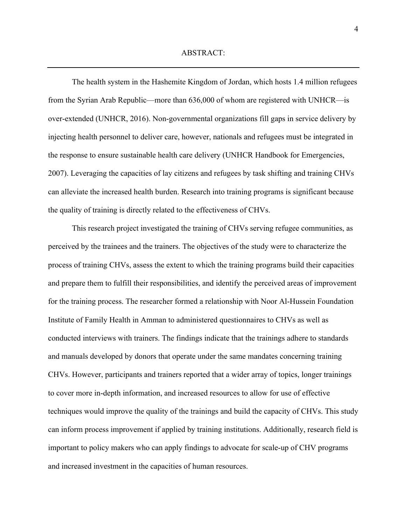The health system in the Hashemite Kingdom of Jordan, which hosts 1.4 million refugees from the Syrian Arab Republic—more than 636,000 of whom are registered with UNHCR—is over-extended (UNHCR, 2016). Non-governmental organizations fill gaps in service delivery by injecting health personnel to deliver care, however, nationals and refugees must be integrated in the response to ensure sustainable health care delivery (UNHCR Handbook for Emergencies, 2007). Leveraging the capacities of lay citizens and refugees by task shifting and training CHVs can alleviate the increased health burden. Research into training programs is significant because the quality of training is directly related to the effectiveness of CHVs.

This research project investigated the training of CHVs serving refugee communities, as perceived by the trainees and the trainers. The objectives of the study were to characterize the process of training CHVs, assess the extent to which the training programs build their capacities and prepare them to fulfill their responsibilities, and identify the perceived areas of improvement for the training process. The researcher formed a relationship with Noor Al-Hussein Foundation Institute of Family Health in Amman to administered questionnaires to CHVs as well as conducted interviews with trainers. The findings indicate that the trainings adhere to standards and manuals developed by donors that operate under the same mandates concerning training CHVs. However, participants and trainers reported that a wider array of topics, longer trainings to cover more in-depth information, and increased resources to allow for use of effective techniques would improve the quality of the trainings and build the capacity of CHVs. This study can inform process improvement if applied by training institutions. Additionally, research field is important to policy makers who can apply findings to advocate for scale-up of CHV programs and increased investment in the capacities of human resources.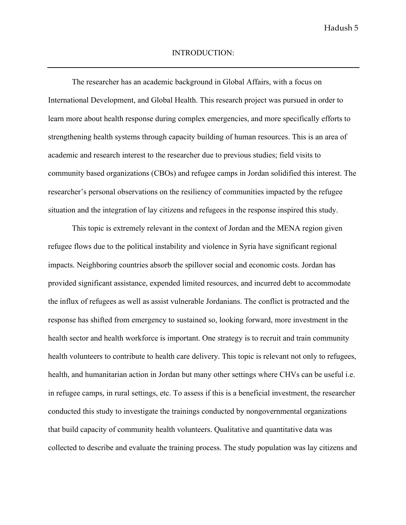The researcher has an academic background in Global Affairs, with a focus on International Development, and Global Health. This research project was pursued in order to learn more about health response during complex emergencies, and more specifically efforts to strengthening health systems through capacity building of human resources. This is an area of academic and research interest to the researcher due to previous studies; field visits to community based organizations (CBOs) and refugee camps in Jordan solidified this interest. The researcher's personal observations on the resiliency of communities impacted by the refugee situation and the integration of lay citizens and refugees in the response inspired this study.

This topic is extremely relevant in the context of Jordan and the MENA region given refugee flows due to the political instability and violence in Syria have significant regional impacts. Neighboring countries absorb the spillover social and economic costs. Jordan has provided significant assistance, expended limited resources, and incurred debt to accommodate the influx of refugees as well as assist vulnerable Jordanians. The conflict is protracted and the response has shifted from emergency to sustained so, looking forward, more investment in the health sector and health workforce is important. One strategy is to recruit and train community health volunteers to contribute to health care delivery. This topic is relevant not only to refugees, health, and humanitarian action in Jordan but many other settings where CHVs can be useful i.e. in refugee camps, in rural settings, etc. To assess if this is a beneficial investment, the researcher conducted this study to investigate the trainings conducted by nongovernmental organizations that build capacity of community health volunteers. Qualitative and quantitative data was collected to describe and evaluate the training process. The study population was lay citizens and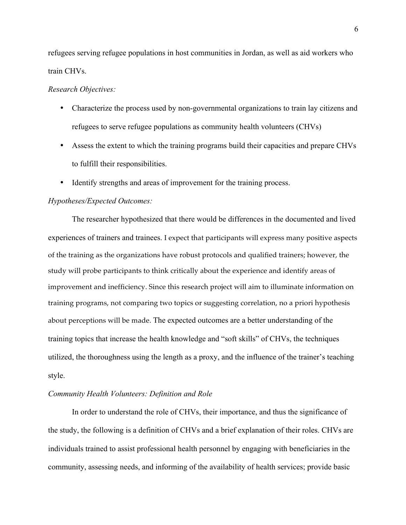refugees serving refugee populations in host communities in Jordan, as well as aid workers who train CHVs.

#### *Research Objectives:*

- Characterize the process used by non-governmental organizations to train lay citizens and refugees to serve refugee populations as community health volunteers (CHVs)
- Assess the extent to which the training programs build their capacities and prepare CHVs to fulfill their responsibilities.
- Identify strengths and areas of improvement for the training process.

#### *Hypotheses/Expected Outcomes:*

The researcher hypothesized that there would be differences in the documented and lived experiences of trainers and trainees. I expect that participants will express many positive aspects of the training as the organizations have robust protocols and qualified trainers; however, the study will probe participants to think critically about the experience and identify areas of improvement and inefficiency. Since this research project will aim to illuminate information on training programs, not comparing two topics or suggesting correlation, no a priori hypothesis about perceptions will be made. The expected outcomes are a better understanding of the training topics that increase the health knowledge and "soft skills" of CHVs, the techniques utilized, the thoroughness using the length as a proxy, and the influence of the trainer's teaching style.

#### *Community Health Volunteers: Definition and Role*

In order to understand the role of CHVs, their importance, and thus the significance of the study, the following is a definition of CHVs and a brief explanation of their roles. CHVs are individuals trained to assist professional health personnel by engaging with beneficiaries in the community, assessing needs, and informing of the availability of health services; provide basic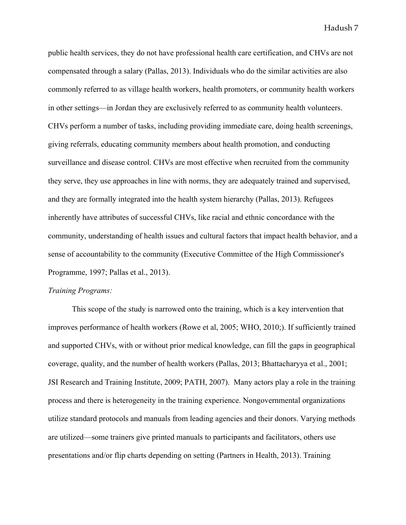public health services, they do not have professional health care certification, and CHVs are not compensated through a salary (Pallas, 2013). Individuals who do the similar activities are also commonly referred to as village health workers, health promoters, or community health workers in other settings—in Jordan they are exclusively referred to as community health volunteers. CHVs perform a number of tasks, including providing immediate care, doing health screenings, giving referrals, educating community members about health promotion, and conducting surveillance and disease control. CHVs are most effective when recruited from the community they serve, they use approaches in line with norms, they are adequately trained and supervised, and they are formally integrated into the health system hierarchy (Pallas, 2013). Refugees inherently have attributes of successful CHVs, like racial and ethnic concordance with the community, understanding of health issues and cultural factors that impact health behavior, and a sense of accountability to the community (Executive Committee of the High Commissioner's Programme, 1997; Pallas et al., 2013).

#### *Training Programs:*

This scope of the study is narrowed onto the training, which is a key intervention that improves performance of health workers (Rowe et al, 2005; WHO, 2010;). If sufficiently trained and supported CHVs, with or without prior medical knowledge, can fill the gaps in geographical coverage, quality, and the number of health workers (Pallas, 2013; Bhattacharyya et al., 2001; JSI Research and Training Institute, 2009; PATH, 2007). Many actors play a role in the training process and there is heterogeneity in the training experience. Nongovernmental organizations utilize standard protocols and manuals from leading agencies and their donors. Varying methods are utilized—some trainers give printed manuals to participants and facilitators, others use presentations and/or flip charts depending on setting (Partners in Health, 2013). Training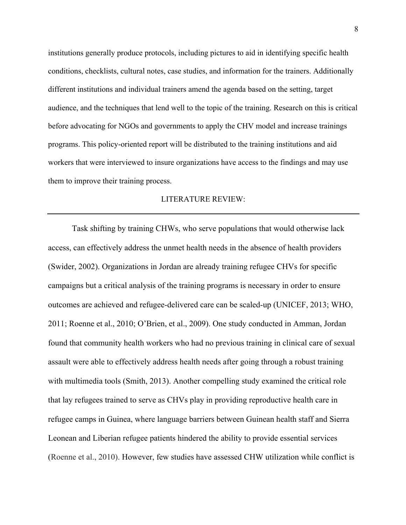institutions generally produce protocols, including pictures to aid in identifying specific health conditions, checklists, cultural notes, case studies, and information for the trainers. Additionally different institutions and individual trainers amend the agenda based on the setting, target audience, and the techniques that lend well to the topic of the training. Research on this is critical before advocating for NGOs and governments to apply the CHV model and increase trainings programs. This policy-oriented report will be distributed to the training institutions and aid workers that were interviewed to insure organizations have access to the findings and may use them to improve their training process.

#### LITERATURE REVIEW:

Task shifting by training CHWs, who serve populations that would otherwise lack access, can effectively address the unmet health needs in the absence of health providers (Swider, 2002). Organizations in Jordan are already training refugee CHVs for specific campaigns but a critical analysis of the training programs is necessary in order to ensure outcomes are achieved and refugee-delivered care can be scaled-up (UNICEF, 2013; WHO, 2011; Roenne et al., 2010; O'Brien, et al., 2009). One study conducted in Amman, Jordan found that community health workers who had no previous training in clinical care of sexual assault were able to effectively address health needs after going through a robust training with multimedia tools (Smith, 2013). Another compelling study examined the critical role that lay refugees trained to serve as CHVs play in providing reproductive health care in refugee camps in Guinea, where language barriers between Guinean health staff and Sierra Leonean and Liberian refugee patients hindered the ability to provide essential services (Roenne et al., 2010). However, few studies have assessed CHW utilization while conflict is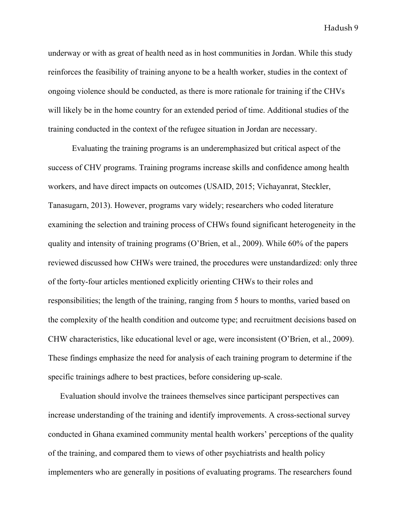underway or with as great of health need as in host communities in Jordan. While this study reinforces the feasibility of training anyone to be a health worker, studies in the context of ongoing violence should be conducted, as there is more rationale for training if the CHVs will likely be in the home country for an extended period of time. Additional studies of the training conducted in the context of the refugee situation in Jordan are necessary.

Evaluating the training programs is an underemphasized but critical aspect of the success of CHV programs. Training programs increase skills and confidence among health workers, and have direct impacts on outcomes (USAID, 2015; Vichayanrat, Steckler, Tanasugarn, 2013). However, programs vary widely; researchers who coded literature examining the selection and training process of CHWs found significant heterogeneity in the quality and intensity of training programs (O'Brien, et al., 2009). While 60% of the papers reviewed discussed how CHWs were trained, the procedures were unstandardized: only three of the forty-four articles mentioned explicitly orienting CHWs to their roles and responsibilities; the length of the training, ranging from 5 hours to months, varied based on the complexity of the health condition and outcome type; and recruitment decisions based on CHW characteristics, like educational level or age, were inconsistent (O'Brien, et al., 2009). These findings emphasize the need for analysis of each training program to determine if the specific trainings adhere to best practices, before considering up-scale.

Evaluation should involve the trainees themselves since participant perspectives can increase understanding of the training and identify improvements. A cross-sectional survey conducted in Ghana examined community mental health workers' perceptions of the quality of the training, and compared them to views of other psychiatrists and health policy implementers who are generally in positions of evaluating programs. The researchers found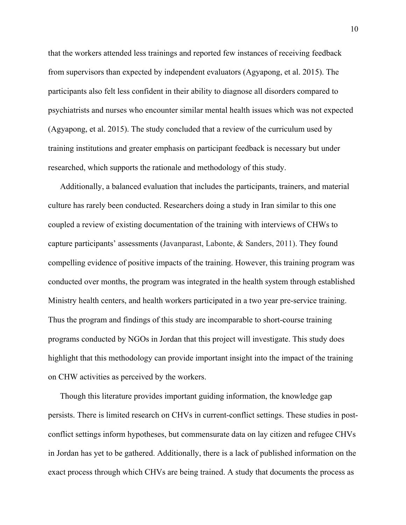that the workers attended less trainings and reported few instances of receiving feedback from supervisors than expected by independent evaluators (Agyapong, et al. 2015). The participants also felt less confident in their ability to diagnose all disorders compared to psychiatrists and nurses who encounter similar mental health issues which was not expected (Agyapong, et al. 2015). The study concluded that a review of the curriculum used by training institutions and greater emphasis on participant feedback is necessary but under researched, which supports the rationale and methodology of this study.

Additionally, a balanced evaluation that includes the participants, trainers, and material culture has rarely been conducted. Researchers doing a study in Iran similar to this one coupled a review of existing documentation of the training with interviews of CHWs to capture participants' assessments (Javanparast, Labonte, & Sanders, 2011). They found compelling evidence of positive impacts of the training. However, this training program was conducted over months, the program was integrated in the health system through established Ministry health centers, and health workers participated in a two year pre-service training. Thus the program and findings of this study are incomparable to short-course training programs conducted by NGOs in Jordan that this project will investigate. This study does highlight that this methodology can provide important insight into the impact of the training on CHW activities as perceived by the workers.

Though this literature provides important guiding information, the knowledge gap persists. There is limited research on CHVs in current-conflict settings. These studies in postconflict settings inform hypotheses, but commensurate data on lay citizen and refugee CHVs in Jordan has yet to be gathered. Additionally, there is a lack of published information on the exact process through which CHVs are being trained. A study that documents the process as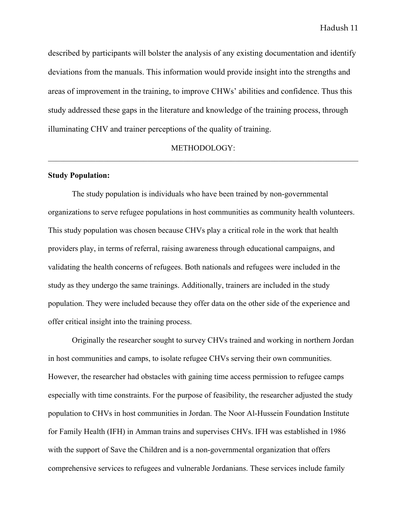described by participants will bolster the analysis of any existing documentation and identify deviations from the manuals. This information would provide insight into the strengths and areas of improvement in the training, to improve CHWs' abilities and confidence. Thus this study addressed these gaps in the literature and knowledge of the training process, through illuminating CHV and trainer perceptions of the quality of training.

#### METHODOLOGY:  $\_$  , and the contribution of the contribution of the contribution of the contribution of  $\mathcal{L}_\text{max}$

#### **Study Population:**

The study population is individuals who have been trained by non-governmental organizations to serve refugee populations in host communities as community health volunteers. This study population was chosen because CHVs play a critical role in the work that health providers play, in terms of referral, raising awareness through educational campaigns, and validating the health concerns of refugees. Both nationals and refugees were included in the study as they undergo the same trainings. Additionally, trainers are included in the study population. They were included because they offer data on the other side of the experience and offer critical insight into the training process.

Originally the researcher sought to survey CHVs trained and working in northern Jordan in host communities and camps, to isolate refugee CHVs serving their own communities. However, the researcher had obstacles with gaining time access permission to refugee camps especially with time constraints. For the purpose of feasibility, the researcher adjusted the study population to CHVs in host communities in Jordan. The Noor Al-Hussein Foundation Institute for Family Health (IFH) in Amman trains and supervises CHVs. IFH was established in 1986 with the support of Save the Children and is a non-governmental organization that offers comprehensive services to refugees and vulnerable Jordanians. These services include family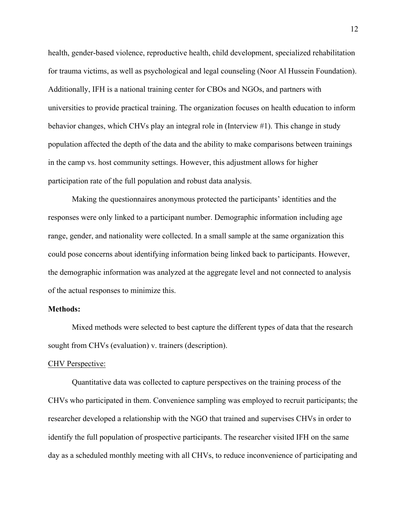health, gender-based violence, reproductive health, child development, specialized rehabilitation for trauma victims, as well as psychological and legal counseling (Noor Al Hussein Foundation). Additionally, IFH is a national training center for CBOs and NGOs, and partners with universities to provide practical training. The organization focuses on health education to inform behavior changes, which CHVs play an integral role in (Interview #1). This change in study population affected the depth of the data and the ability to make comparisons between trainings in the camp vs. host community settings. However, this adjustment allows for higher participation rate of the full population and robust data analysis.

Making the questionnaires anonymous protected the participants' identities and the responses were only linked to a participant number. Demographic information including age range, gender, and nationality were collected. In a small sample at the same organization this could pose concerns about identifying information being linked back to participants. However, the demographic information was analyzed at the aggregate level and not connected to analysis of the actual responses to minimize this.

#### **Methods:**

Mixed methods were selected to best capture the different types of data that the research sought from CHVs (evaluation) v. trainers (description).

#### CHV Perspective:

Quantitative data was collected to capture perspectives on the training process of the CHVs who participated in them. Convenience sampling was employed to recruit participants; the researcher developed a relationship with the NGO that trained and supervises CHVs in order to identify the full population of prospective participants. The researcher visited IFH on the same day as a scheduled monthly meeting with all CHVs, to reduce inconvenience of participating and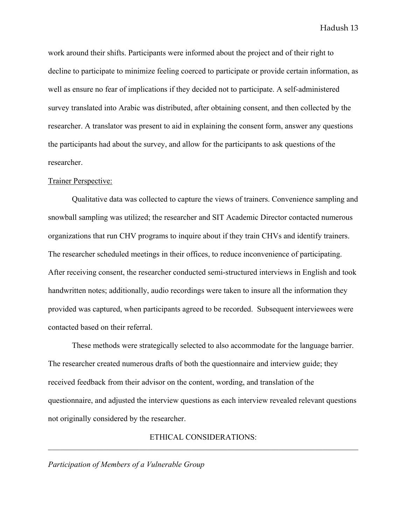work around their shifts. Participants were informed about the project and of their right to decline to participate to minimize feeling coerced to participate or provide certain information, as well as ensure no fear of implications if they decided not to participate. A self-administered survey translated into Arabic was distributed, after obtaining consent, and then collected by the researcher. A translator was present to aid in explaining the consent form, answer any questions the participants had about the survey, and allow for the participants to ask questions of the researcher.

#### Trainer Perspective:

Qualitative data was collected to capture the views of trainers. Convenience sampling and snowball sampling was utilized; the researcher and SIT Academic Director contacted numerous organizations that run CHV programs to inquire about if they train CHVs and identify trainers. The researcher scheduled meetings in their offices, to reduce inconvenience of participating. After receiving consent, the researcher conducted semi-structured interviews in English and took handwritten notes; additionally, audio recordings were taken to insure all the information they provided was captured, when participants agreed to be recorded. Subsequent interviewees were contacted based on their referral.

These methods were strategically selected to also accommodate for the language barrier. The researcher created numerous drafts of both the questionnaire and interview guide; they received feedback from their advisor on the content, wording, and translation of the questionnaire, and adjusted the interview questions as each interview revealed relevant questions not originally considered by the researcher.

ETHICAL CONSIDERATIONS:  $\_$  , and the contribution of the contribution of the contribution of the contribution of  $\mathcal{L}_\text{max}$ 

#### *Participation of Members of a Vulnerable Group*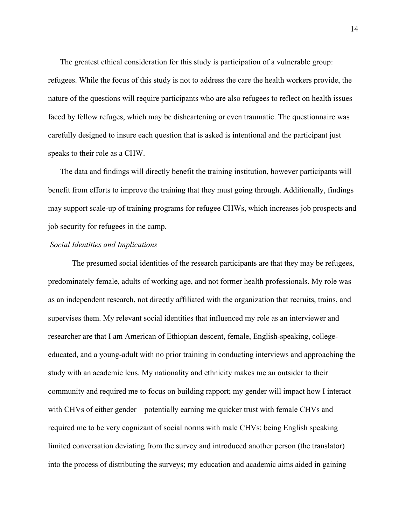The greatest ethical consideration for this study is participation of a vulnerable group: refugees. While the focus of this study is not to address the care the health workers provide, the nature of the questions will require participants who are also refugees to reflect on health issues faced by fellow refuges, which may be disheartening or even traumatic. The questionnaire was carefully designed to insure each question that is asked is intentional and the participant just speaks to their role as a CHW.

The data and findings will directly benefit the training institution, however participants will benefit from efforts to improve the training that they must going through. Additionally, findings may support scale-up of training programs for refugee CHWs, which increases job prospects and job security for refugees in the camp.

### *Social Identities and Implications*

The presumed social identities of the research participants are that they may be refugees, predominately female, adults of working age, and not former health professionals. My role was as an independent research, not directly affiliated with the organization that recruits, trains, and supervises them. My relevant social identities that influenced my role as an interviewer and researcher are that I am American of Ethiopian descent, female, English-speaking, collegeeducated, and a young-adult with no prior training in conducting interviews and approaching the study with an academic lens. My nationality and ethnicity makes me an outsider to their community and required me to focus on building rapport; my gender will impact how I interact with CHVs of either gender—potentially earning me quicker trust with female CHVs and required me to be very cognizant of social norms with male CHVs; being English speaking limited conversation deviating from the survey and introduced another person (the translator) into the process of distributing the surveys; my education and academic aims aided in gaining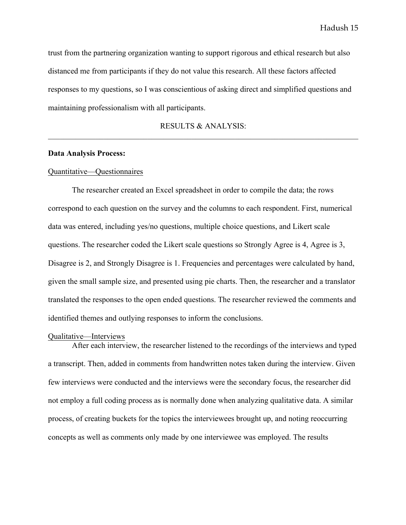trust from the partnering organization wanting to support rigorous and ethical research but also distanced me from participants if they do not value this research. All these factors affected responses to my questions, so I was conscientious of asking direct and simplified questions and maintaining professionalism with all participants.

RESULTS & ANALYSIS:  $\_$  , and the contribution of the contribution of the contribution of the contribution of  $\mathcal{L}_\text{max}$ 

#### **Data Analysis Process:**

#### Quantitative—Questionnaires

The researcher created an Excel spreadsheet in order to compile the data; the rows correspond to each question on the survey and the columns to each respondent. First, numerical data was entered, including yes/no questions, multiple choice questions, and Likert scale questions. The researcher coded the Likert scale questions so Strongly Agree is 4, Agree is 3, Disagree is 2, and Strongly Disagree is 1. Frequencies and percentages were calculated by hand, given the small sample size, and presented using pie charts. Then, the researcher and a translator translated the responses to the open ended questions. The researcher reviewed the comments and identified themes and outlying responses to inform the conclusions.

#### Qualitative—Interviews

After each interview, the researcher listened to the recordings of the interviews and typed a transcript. Then, added in comments from handwritten notes taken during the interview. Given few interviews were conducted and the interviews were the secondary focus, the researcher did not employ a full coding process as is normally done when analyzing qualitative data. A similar process, of creating buckets for the topics the interviewees brought up, and noting reoccurring concepts as well as comments only made by one interviewee was employed. The results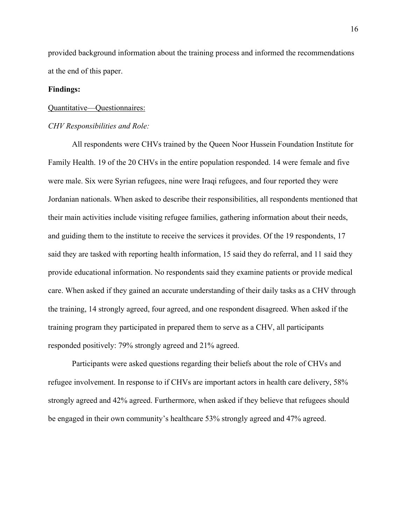provided background information about the training process and informed the recommendations at the end of this paper.

#### **Findings:**

#### Quantitative—Questionnaires:

#### *CHV Responsibilities and Role:*

All respondents were CHVs trained by the Queen Noor Hussein Foundation Institute for Family Health. 19 of the 20 CHVs in the entire population responded. 14 were female and five were male. Six were Syrian refugees, nine were Iraqi refugees, and four reported they were Jordanian nationals. When asked to describe their responsibilities, all respondents mentioned that their main activities include visiting refugee families, gathering information about their needs, and guiding them to the institute to receive the services it provides. Of the 19 respondents, 17 said they are tasked with reporting health information, 15 said they do referral, and 11 said they provide educational information. No respondents said they examine patients or provide medical care. When asked if they gained an accurate understanding of their daily tasks as a CHV through the training, 14 strongly agreed, four agreed, and one respondent disagreed. When asked if the training program they participated in prepared them to serve as a CHV, all participants responded positively: 79% strongly agreed and 21% agreed.

Participants were asked questions regarding their beliefs about the role of CHVs and refugee involvement. In response to if CHVs are important actors in health care delivery, 58% strongly agreed and 42% agreed. Furthermore, when asked if they believe that refugees should be engaged in their own community's healthcare 53% strongly agreed and 47% agreed.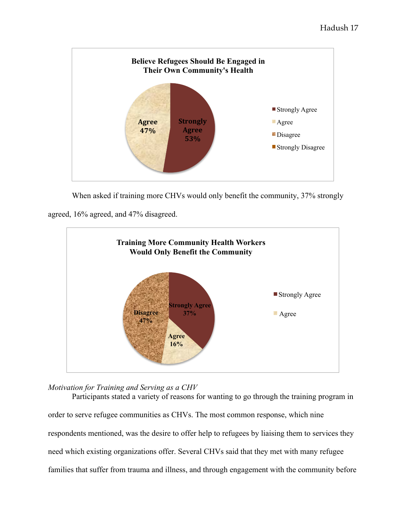

When asked if training more CHVs would only benefit the community, 37% strongly

agreed, 16% agreed, and 47% disagreed.



*Motivation for Training and Serving as a CHV*

Participants stated a variety of reasons for wanting to go through the training program in order to serve refugee communities as CHVs. The most common response, which nine respondents mentioned, was the desire to offer help to refugees by liaising them to services they need which existing organizations offer. Several CHVs said that they met with many refugee families that suffer from trauma and illness, and through engagement with the community before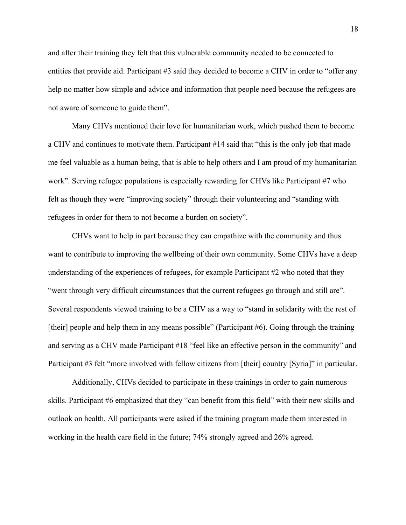and after their training they felt that this vulnerable community needed to be connected to entities that provide aid. Participant #3 said they decided to become a CHV in order to "offer any help no matter how simple and advice and information that people need because the refugees are not aware of someone to guide them".

Many CHVs mentioned their love for humanitarian work, which pushed them to become a CHV and continues to motivate them. Participant #14 said that "this is the only job that made me feel valuable as a human being, that is able to help others and I am proud of my humanitarian work". Serving refugee populations is especially rewarding for CHVs like Participant #7 who felt as though they were "improving society" through their volunteering and "standing with refugees in order for them to not become a burden on society".

CHVs want to help in part because they can empathize with the community and thus want to contribute to improving the wellbeing of their own community. Some CHVs have a deep understanding of the experiences of refugees, for example Participant #2 who noted that they "went through very difficult circumstances that the current refugees go through and still are". Several respondents viewed training to be a CHV as a way to "stand in solidarity with the rest of [their] people and help them in any means possible" (Participant #6). Going through the training and serving as a CHV made Participant #18 "feel like an effective person in the community" and Participant #3 felt "more involved with fellow citizens from [their] country [Syria]" in particular.

Additionally, CHVs decided to participate in these trainings in order to gain numerous skills. Participant #6 emphasized that they "can benefit from this field" with their new skills and outlook on health. All participants were asked if the training program made them interested in working in the health care field in the future; 74% strongly agreed and 26% agreed.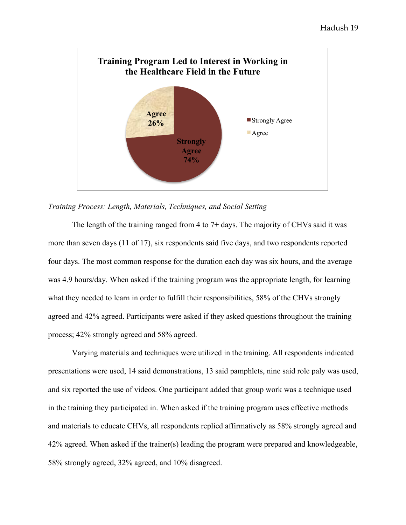

#### *Training Process: Length, Materials, Techniques, and Social Setting*

The length of the training ranged from 4 to 7+ days. The majority of CHVs said it was more than seven days (11 of 17), six respondents said five days, and two respondents reported four days. The most common response for the duration each day was six hours, and the average was 4.9 hours/day. When asked if the training program was the appropriate length, for learning what they needed to learn in order to fulfill their responsibilities, 58% of the CHVs strongly agreed and 42% agreed. Participants were asked if they asked questions throughout the training process; 42% strongly agreed and 58% agreed.

Varying materials and techniques were utilized in the training. All respondents indicated presentations were used, 14 said demonstrations, 13 said pamphlets, nine said role paly was used, and six reported the use of videos. One participant added that group work was a technique used in the training they participated in. When asked if the training program uses effective methods and materials to educate CHVs, all respondents replied affirmatively as 58% strongly agreed and 42% agreed. When asked if the trainer(s) leading the program were prepared and knowledgeable, 58% strongly agreed, 32% agreed, and 10% disagreed.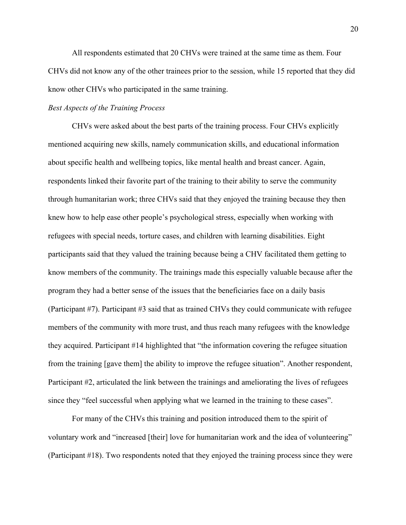All respondents estimated that 20 CHVs were trained at the same time as them. Four CHVs did not know any of the other trainees prior to the session, while 15 reported that they did know other CHVs who participated in the same training.

#### *Best Aspects of the Training Process*

CHVs were asked about the best parts of the training process. Four CHVs explicitly mentioned acquiring new skills, namely communication skills, and educational information about specific health and wellbeing topics, like mental health and breast cancer. Again, respondents linked their favorite part of the training to their ability to serve the community through humanitarian work; three CHVs said that they enjoyed the training because they then knew how to help ease other people's psychological stress, especially when working with refugees with special needs, torture cases, and children with learning disabilities. Eight participants said that they valued the training because being a CHV facilitated them getting to know members of the community. The trainings made this especially valuable because after the program they had a better sense of the issues that the beneficiaries face on a daily basis (Participant #7). Participant #3 said that as trained CHVs they could communicate with refugee members of the community with more trust, and thus reach many refugees with the knowledge they acquired. Participant #14 highlighted that "the information covering the refugee situation from the training [gave them] the ability to improve the refugee situation". Another respondent, Participant #2, articulated the link between the trainings and ameliorating the lives of refugees since they "feel successful when applying what we learned in the training to these cases".

For many of the CHVs this training and position introduced them to the spirit of voluntary work and "increased [their] love for humanitarian work and the idea of volunteering" (Participant #18). Two respondents noted that they enjoyed the training process since they were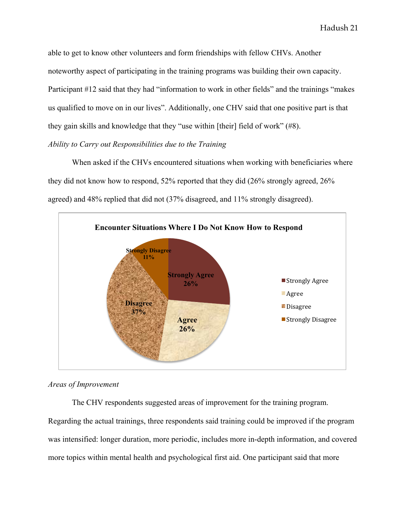able to get to know other volunteers and form friendships with fellow CHVs. Another noteworthy aspect of participating in the training programs was building their own capacity. Participant #12 said that they had "information to work in other fields" and the trainings "makes us qualified to move on in our lives". Additionally, one CHV said that one positive part is that they gain skills and knowledge that they "use within [their] field of work" (#8). *Ability to Carry out Responsibilities due to the Training*

When asked if the CHVs encountered situations when working with beneficiaries where they did not know how to respond, 52% reported that they did (26% strongly agreed, 26% agreed) and 48% replied that did not (37% disagreed, and 11% strongly disagreed).



#### *Areas of Improvement*

The CHV respondents suggested areas of improvement for the training program.

Regarding the actual trainings, three respondents said training could be improved if the program was intensified: longer duration, more periodic, includes more in-depth information, and covered more topics within mental health and psychological first aid. One participant said that more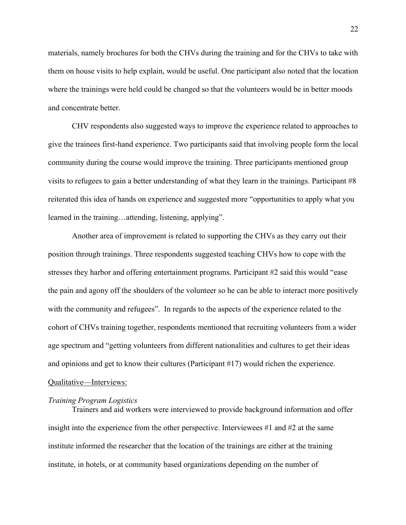materials, namely brochures for both the CHVs during the training and for the CHVs to take with them on house visits to help explain, would be useful. One participant also noted that the location where the trainings were held could be changed so that the volunteers would be in better moods and concentrate better.

CHV respondents also suggested ways to improve the experience related to approaches to give the trainees first-hand experience. Two participants said that involving people form the local community during the course would improve the training. Three participants mentioned group visits to refugees to gain a better understanding of what they learn in the trainings. Participant #8 reiterated this idea of hands on experience and suggested more "opportunities to apply what you learned in the training…attending, listening, applying".

Another area of improvement is related to supporting the CHVs as they carry out their position through trainings. Three respondents suggested teaching CHVs how to cope with the stresses they harbor and offering entertainment programs. Participant #2 said this would "ease the pain and agony off the shoulders of the volunteer so he can be able to interact more positively with the community and refugees". In regards to the aspects of the experience related to the cohort of CHVs training together, respondents mentioned that recruiting volunteers from a wider age spectrum and "getting volunteers from different nationalities and cultures to get their ideas and opinions and get to know their cultures (Participant #17) would richen the experience. Qualitative—Interviews:

#### *Training Program Logistics*

Trainers and aid workers were interviewed to provide background information and offer insight into the experience from the other perspective. Interviewees  $\#1$  and  $\#2$  at the same institute informed the researcher that the location of the trainings are either at the training institute, in hotels, or at community based organizations depending on the number of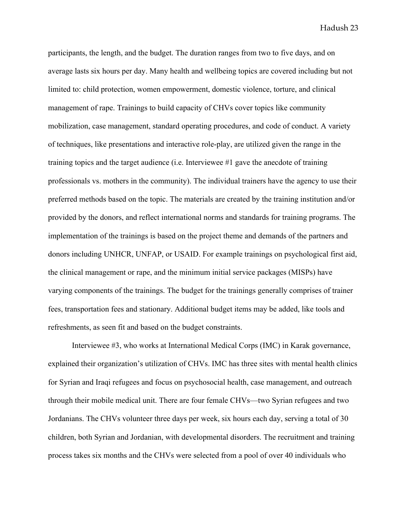participants, the length, and the budget. The duration ranges from two to five days, and on average lasts six hours per day. Many health and wellbeing topics are covered including but not limited to: child protection, women empowerment, domestic violence, torture, and clinical management of rape. Trainings to build capacity of CHVs cover topics like community mobilization, case management, standard operating procedures, and code of conduct. A variety of techniques, like presentations and interactive role-play, are utilized given the range in the training topics and the target audience (i.e. Interviewee #1 gave the anecdote of training professionals vs. mothers in the community). The individual trainers have the agency to use their preferred methods based on the topic. The materials are created by the training institution and/or provided by the donors, and reflect international norms and standards for training programs. The implementation of the trainings is based on the project theme and demands of the partners and donors including UNHCR, UNFAP, or USAID. For example trainings on psychological first aid, the clinical management or rape, and the minimum initial service packages (MISPs) have varying components of the trainings. The budget for the trainings generally comprises of trainer fees, transportation fees and stationary. Additional budget items may be added, like tools and refreshments, as seen fit and based on the budget constraints.

Interviewee #3, who works at International Medical Corps (IMC) in Karak governance, explained their organization's utilization of CHVs. IMC has three sites with mental health clinics for Syrian and Iraqi refugees and focus on psychosocial health, case management, and outreach through their mobile medical unit. There are four female CHVs—two Syrian refugees and two Jordanians. The CHVs volunteer three days per week, six hours each day, serving a total of 30 children, both Syrian and Jordanian, with developmental disorders. The recruitment and training process takes six months and the CHVs were selected from a pool of over 40 individuals who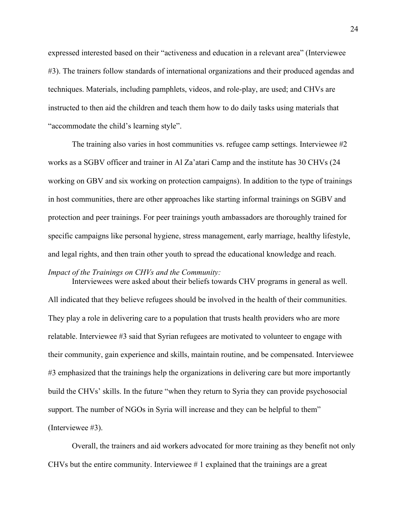expressed interested based on their "activeness and education in a relevant area" (Interviewee #3). The trainers follow standards of international organizations and their produced agendas and techniques. Materials, including pamphlets, videos, and role-play, are used; and CHVs are instructed to then aid the children and teach them how to do daily tasks using materials that "accommodate the child's learning style".

The training also varies in host communities vs. refugee camp settings. Interviewee #2 works as a SGBV officer and trainer in Al Za'atari Camp and the institute has 30 CHVs (24 working on GBV and six working on protection campaigns). In addition to the type of trainings in host communities, there are other approaches like starting informal trainings on SGBV and protection and peer trainings. For peer trainings youth ambassadors are thoroughly trained for specific campaigns like personal hygiene, stress management, early marriage, healthy lifestyle, and legal rights, and then train other youth to spread the educational knowledge and reach.

#### *Impact of the Trainings on CHVs and the Community:*

Interviewees were asked about their beliefs towards CHV programs in general as well. All indicated that they believe refugees should be involved in the health of their communities. They play a role in delivering care to a population that trusts health providers who are more relatable. Interviewee #3 said that Syrian refugees are motivated to volunteer to engage with their community, gain experience and skills, maintain routine, and be compensated. Interviewee #3 emphasized that the trainings help the organizations in delivering care but more importantly build the CHVs' skills. In the future "when they return to Syria they can provide psychosocial support. The number of NGOs in Syria will increase and they can be helpful to them" (Interviewee #3).

Overall, the trainers and aid workers advocated for more training as they benefit not only CHVs but the entire community. Interviewee  $\# 1$  explained that the trainings are a great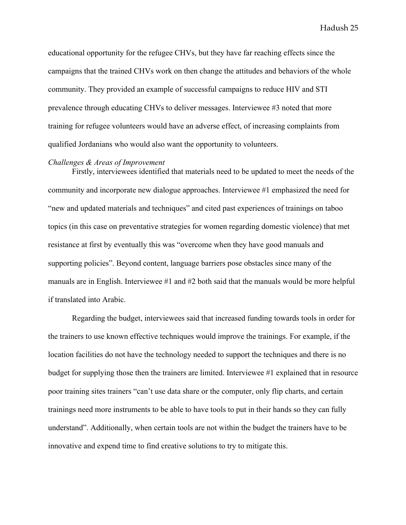educational opportunity for the refugee CHVs, but they have far reaching effects since the campaigns that the trained CHVs work on then change the attitudes and behaviors of the whole community. They provided an example of successful campaigns to reduce HIV and STI prevalence through educating CHVs to deliver messages. Interviewee #3 noted that more training for refugee volunteers would have an adverse effect, of increasing complaints from qualified Jordanians who would also want the opportunity to volunteers.

#### *Challenges & Areas of Improvement*

Firstly, interviewees identified that materials need to be updated to meet the needs of the community and incorporate new dialogue approaches. Interviewee #1 emphasized the need for "new and updated materials and techniques" and cited past experiences of trainings on taboo topics (in this case on preventative strategies for women regarding domestic violence) that met resistance at first by eventually this was "overcome when they have good manuals and supporting policies". Beyond content, language barriers pose obstacles since many of the manuals are in English. Interviewee #1 and #2 both said that the manuals would be more helpful if translated into Arabic.

Regarding the budget, interviewees said that increased funding towards tools in order for the trainers to use known effective techniques would improve the trainings. For example, if the location facilities do not have the technology needed to support the techniques and there is no budget for supplying those then the trainers are limited. Interviewee #1 explained that in resource poor training sites trainers "can't use data share or the computer, only flip charts, and certain trainings need more instruments to be able to have tools to put in their hands so they can fully understand". Additionally, when certain tools are not within the budget the trainers have to be innovative and expend time to find creative solutions to try to mitigate this.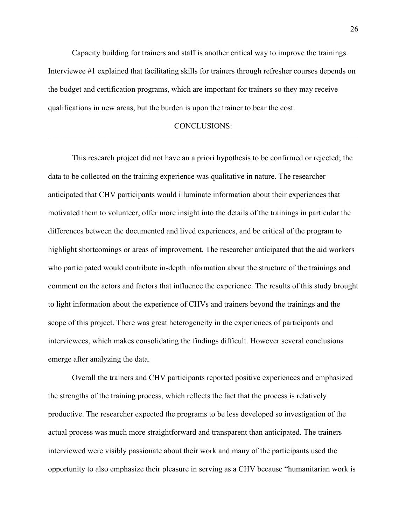Capacity building for trainers and staff is another critical way to improve the trainings. Interviewee #1 explained that facilitating skills for trainers through refresher courses depends on the budget and certification programs, which are important for trainers so they may receive qualifications in new areas, but the burden is upon the trainer to bear the cost.

#### CONCLUSIONS:  $\_$  , and the contribution of the contribution of the contribution of the contribution of  $\mathcal{L}_\text{max}$

This research project did not have an a priori hypothesis to be confirmed or rejected; the data to be collected on the training experience was qualitative in nature. The researcher anticipated that CHV participants would illuminate information about their experiences that motivated them to volunteer, offer more insight into the details of the trainings in particular the differences between the documented and lived experiences, and be critical of the program to highlight shortcomings or areas of improvement. The researcher anticipated that the aid workers who participated would contribute in-depth information about the structure of the trainings and comment on the actors and factors that influence the experience. The results of this study brought to light information about the experience of CHVs and trainers beyond the trainings and the scope of this project. There was great heterogeneity in the experiences of participants and interviewees, which makes consolidating the findings difficult. However several conclusions emerge after analyzing the data.

Overall the trainers and CHV participants reported positive experiences and emphasized the strengths of the training process, which reflects the fact that the process is relatively productive. The researcher expected the programs to be less developed so investigation of the actual process was much more straightforward and transparent than anticipated. The trainers interviewed were visibly passionate about their work and many of the participants used the opportunity to also emphasize their pleasure in serving as a CHV because "humanitarian work is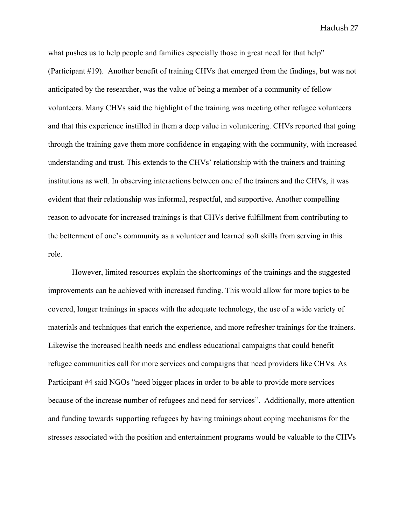what pushes us to help people and families especially those in great need for that help" (Participant #19). Another benefit of training CHVs that emerged from the findings, but was not anticipated by the researcher, was the value of being a member of a community of fellow volunteers. Many CHVs said the highlight of the training was meeting other refugee volunteers and that this experience instilled in them a deep value in volunteering. CHVs reported that going through the training gave them more confidence in engaging with the community, with increased understanding and trust. This extends to the CHVs' relationship with the trainers and training institutions as well. In observing interactions between one of the trainers and the CHVs, it was evident that their relationship was informal, respectful, and supportive. Another compelling reason to advocate for increased trainings is that CHVs derive fulfillment from contributing to the betterment of one's community as a volunteer and learned soft skills from serving in this role.

However, limited resources explain the shortcomings of the trainings and the suggested improvements can be achieved with increased funding. This would allow for more topics to be covered, longer trainings in spaces with the adequate technology, the use of a wide variety of materials and techniques that enrich the experience, and more refresher trainings for the trainers. Likewise the increased health needs and endless educational campaigns that could benefit refugee communities call for more services and campaigns that need providers like CHVs. As Participant #4 said NGOs "need bigger places in order to be able to provide more services because of the increase number of refugees and need for services". Additionally, more attention and funding towards supporting refugees by having trainings about coping mechanisms for the stresses associated with the position and entertainment programs would be valuable to the CHVs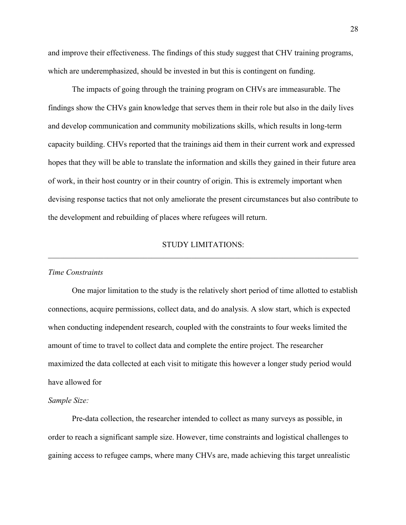and improve their effectiveness. The findings of this study suggest that CHV training programs, which are underemphasized, should be invested in but this is contingent on funding.

The impacts of going through the training program on CHVs are immeasurable. The findings show the CHVs gain knowledge that serves them in their role but also in the daily lives and develop communication and community mobilizations skills, which results in long-term capacity building. CHVs reported that the trainings aid them in their current work and expressed hopes that they will be able to translate the information and skills they gained in their future area of work, in their host country or in their country of origin. This is extremely important when devising response tactics that not only ameliorate the present circumstances but also contribute to the development and rebuilding of places where refugees will return.

#### STUDY LIMITATIONS:  $\mathcal{L}_\mathcal{L} = \{ \mathcal{L}_\mathcal{L} = \{ \mathcal{L}_\mathcal{L} = \{ \mathcal{L}_\mathcal{L} = \{ \mathcal{L}_\mathcal{L} = \{ \mathcal{L}_\mathcal{L} = \{ \mathcal{L}_\mathcal{L} = \{ \mathcal{L}_\mathcal{L} = \{ \mathcal{L}_\mathcal{L} = \{ \mathcal{L}_\mathcal{L} = \{ \mathcal{L}_\mathcal{L} = \{ \mathcal{L}_\mathcal{L} = \{ \mathcal{L}_\mathcal{L} = \{ \mathcal{L}_\mathcal{L} = \{ \mathcal{L}_\mathcal{$

#### *Time Constraints*

One major limitation to the study is the relatively short period of time allotted to establish connections, acquire permissions, collect data, and do analysis. A slow start, which is expected when conducting independent research, coupled with the constraints to four weeks limited the amount of time to travel to collect data and complete the entire project. The researcher maximized the data collected at each visit to mitigate this however a longer study period would have allowed for

#### *Sample Size:*

Pre-data collection, the researcher intended to collect as many surveys as possible, in order to reach a significant sample size. However, time constraints and logistical challenges to gaining access to refugee camps, where many CHVs are, made achieving this target unrealistic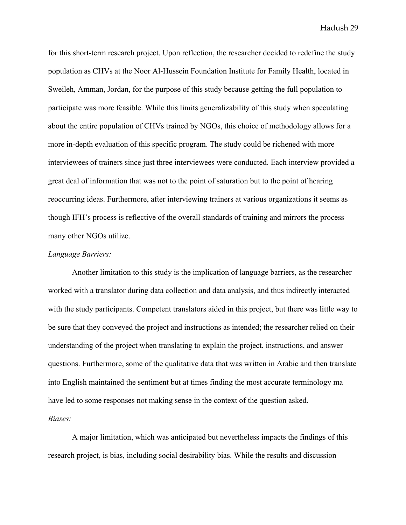for this short-term research project. Upon reflection, the researcher decided to redefine the study population as CHVs at the Noor Al-Hussein Foundation Institute for Family Health, located in Sweileh, Amman, Jordan, for the purpose of this study because getting the full population to participate was more feasible. While this limits generalizability of this study when speculating about the entire population of CHVs trained by NGOs, this choice of methodology allows for a more in-depth evaluation of this specific program. The study could be richened with more interviewees of trainers since just three interviewees were conducted. Each interview provided a great deal of information that was not to the point of saturation but to the point of hearing reoccurring ideas. Furthermore, after interviewing trainers at various organizations it seems as though IFH's process is reflective of the overall standards of training and mirrors the process many other NGOs utilize.

#### *Language Barriers:*

Another limitation to this study is the implication of language barriers, as the researcher worked with a translator during data collection and data analysis, and thus indirectly interacted with the study participants. Competent translators aided in this project, but there was little way to be sure that they conveyed the project and instructions as intended; the researcher relied on their understanding of the project when translating to explain the project, instructions, and answer questions. Furthermore, some of the qualitative data that was written in Arabic and then translate into English maintained the sentiment but at times finding the most accurate terminology ma have led to some responses not making sense in the context of the question asked. *Biases:*

A major limitation, which was anticipated but nevertheless impacts the findings of this research project, is bias, including social desirability bias. While the results and discussion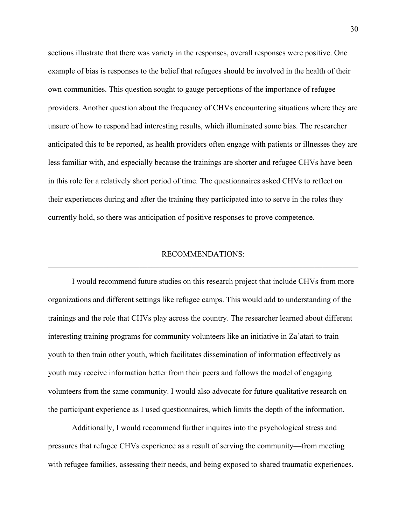sections illustrate that there was variety in the responses, overall responses were positive. One example of bias is responses to the belief that refugees should be involved in the health of their own communities. This question sought to gauge perceptions of the importance of refugee providers. Another question about the frequency of CHVs encountering situations where they are unsure of how to respond had interesting results, which illuminated some bias. The researcher anticipated this to be reported, as health providers often engage with patients or illnesses they are less familiar with, and especially because the trainings are shorter and refugee CHVs have been in this role for a relatively short period of time. The questionnaires asked CHVs to reflect on their experiences during and after the training they participated into to serve in the roles they currently hold, so there was anticipation of positive responses to prove competence.

#### RECOMMENDATIONS:  $\_$  , and the contribution of the contribution of the contribution of the contribution of  $\mathcal{L}_\text{max}$

I would recommend future studies on this research project that include CHVs from more organizations and different settings like refugee camps. This would add to understanding of the trainings and the role that CHVs play across the country. The researcher learned about different interesting training programs for community volunteers like an initiative in Za'atari to train youth to then train other youth, which facilitates dissemination of information effectively as youth may receive information better from their peers and follows the model of engaging volunteers from the same community. I would also advocate for future qualitative research on the participant experience as I used questionnaires, which limits the depth of the information.

Additionally, I would recommend further inquires into the psychological stress and pressures that refugee CHVs experience as a result of serving the community—from meeting with refugee families, assessing their needs, and being exposed to shared traumatic experiences.